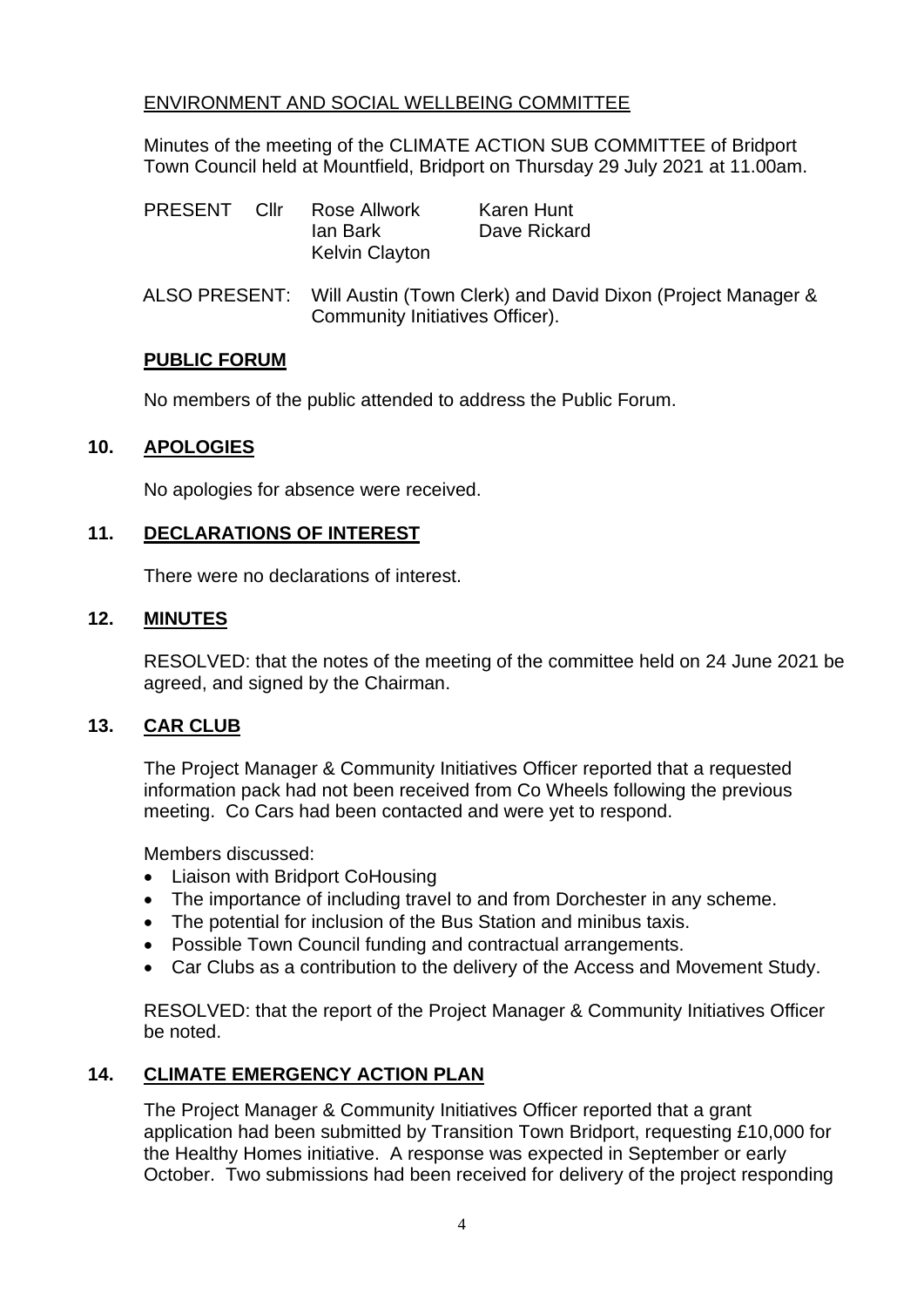# ENVIRONMENT AND SOCIAL WELLBEING COMMITTEE

Minutes of the meeting of the CLIMATE ACTION SUB COMMITTEE of Bridport Town Council held at Mountfield, Bridport on Thursday 29 July 2021 at 11.00am.

| PRESENT Cllr |  | Rose Allwork<br>lan Bark<br><b>Kelvin Clayton</b>                                                            | Karen Hunt<br>Dave Rickard |
|--------------|--|--------------------------------------------------------------------------------------------------------------|----------------------------|
|              |  | ALSO PRESENT: Will Austin (Town Clerk) and David Dixon (Project Manager &<br>Community Initiatives Officer). |                            |

### **PUBLIC FORUM**

No members of the public attended to address the Public Forum.

## **10. APOLOGIES**

No apologies for absence were received.

### **11. DECLARATIONS OF INTEREST**

There were no declarations of interest.

### **12. MINUTES**

RESOLVED: that the notes of the meeting of the committee held on 24 June 2021 be agreed, and signed by the Chairman.

#### **13. CAR CLUB**

The Project Manager & Community Initiatives Officer reported that a requested information pack had not been received from Co Wheels following the previous meeting. Co Cars had been contacted and were yet to respond.

Members discussed:

- Liaison with Bridport CoHousing
- The importance of including travel to and from Dorchester in any scheme.
- The potential for inclusion of the Bus Station and minibus taxis.
- Possible Town Council funding and contractual arrangements.
- Car Clubs as a contribution to the delivery of the Access and Movement Study.

RESOLVED: that the report of the Project Manager & Community Initiatives Officer be noted.

## **14. CLIMATE EMERGENCY ACTION PLAN**

The Project Manager & Community Initiatives Officer reported that a grant application had been submitted by Transition Town Bridport, requesting £10,000 for the Healthy Homes initiative. A response was expected in September or early October. Two submissions had been received for delivery of the project responding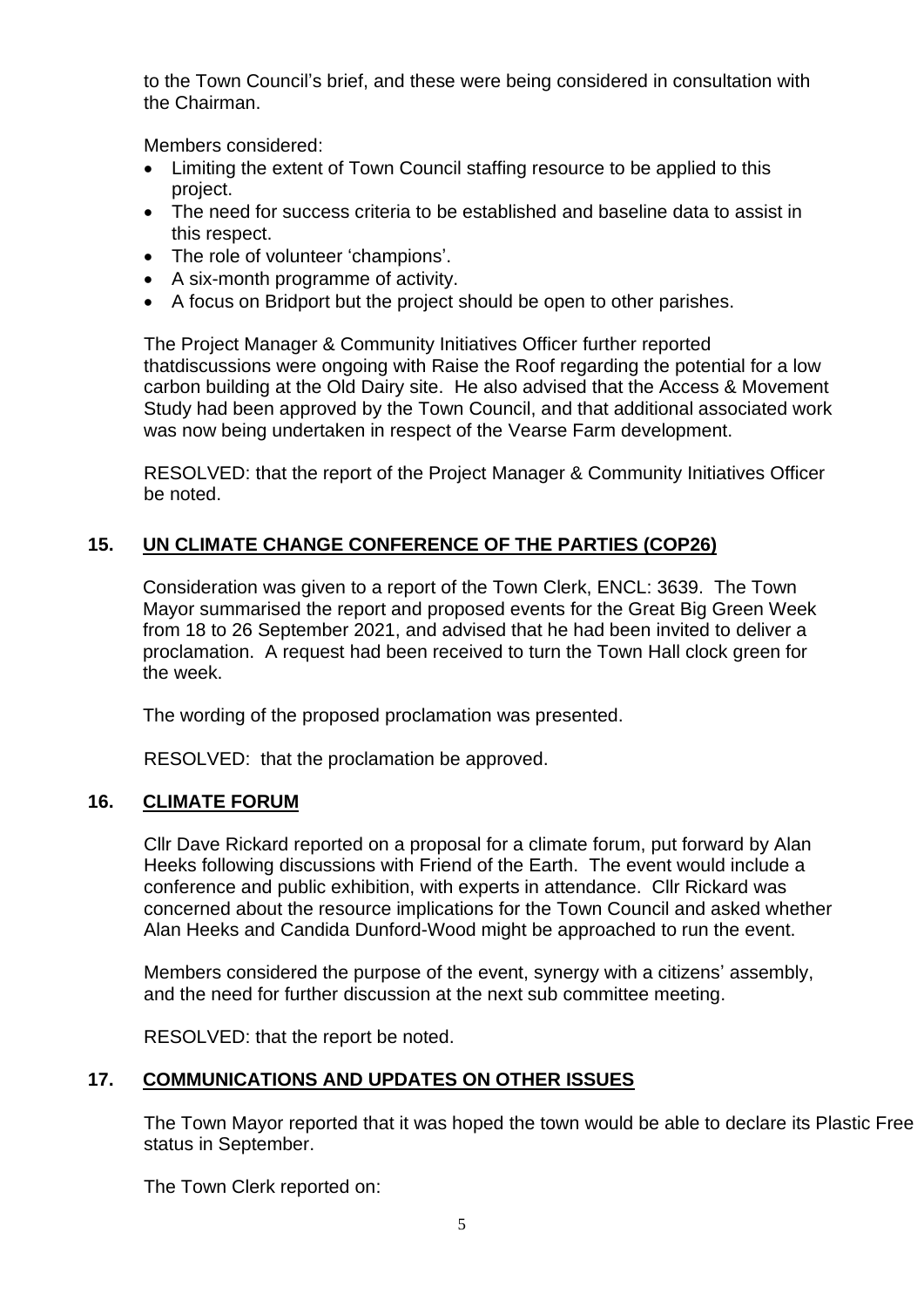to the Town Council's brief, and these were being considered in consultation with the Chairman.

Members considered:

- Limiting the extent of Town Council staffing resource to be applied to this project.
- The need for success criteria to be established and baseline data to assist in this respect.
- The role of volunteer 'champions'.
- A six-month programme of activity.
- A focus on Bridport but the project should be open to other parishes.

The Project Manager & Community Initiatives Officer further reported thatdiscussions were ongoing with Raise the Roof regarding the potential for a low carbon building at the Old Dairy site. He also advised that the Access & Movement Study had been approved by the Town Council, and that additional associated work was now being undertaken in respect of the Vearse Farm development.

RESOLVED: that the report of the Project Manager & Community Initiatives Officer be noted.

# **15. UN CLIMATE CHANGE CONFERENCE OF THE PARTIES (COP26)**

Consideration was given to a report of the Town Clerk, ENCL: 3639. The Town Mayor summarised the report and proposed events for the Great Big Green Week from 18 to 26 September 2021, and advised that he had been invited to deliver a proclamation. A request had been received to turn the Town Hall clock green for the week.

The wording of the proposed proclamation was presented.

RESOLVED: that the proclamation be approved.

## **16. CLIMATE FORUM**

Cllr Dave Rickard reported on a proposal for a climate forum, put forward by Alan Heeks following discussions with Friend of the Earth. The event would include a conference and public exhibition, with experts in attendance. Cllr Rickard was concerned about the resource implications for the Town Council and asked whether Alan Heeks and Candida Dunford-Wood might be approached to run the event.

Members considered the purpose of the event, synergy with a citizens' assembly, and the need for further discussion at the next sub committee meeting.

RESOLVED: that the report be noted.

## **17. COMMUNICATIONS AND UPDATES ON OTHER ISSUES**

The Town Mayor reported that it was hoped the town would be able to declare its Plastic Free status in September.

The Town Clerk reported on: